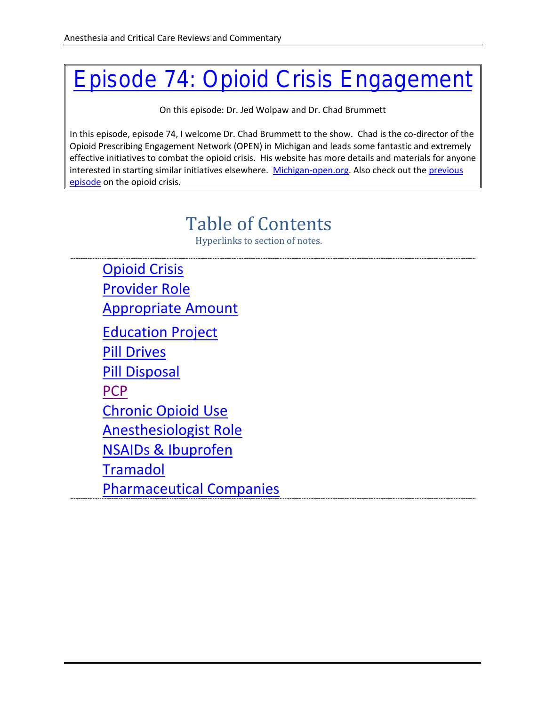# [Episode 74: Opioid Crisis Engagement](http://accrac.com/episode-74-opioid-crisis-engagement-with-chad-brummett/)

On this episode: Dr. Jed Wolpaw and Dr. Chad Brummett

In this episode, episode 74, I welcome Dr. Chad Brummett to the show. Chad is the co-director of the Opioid Prescribing Engagement Network (OPEN) in Michigan and leads some fantastic and extremely effective initiatives to combat the opioid crisis. His website has more details and materials for anyone interested in starting similar initiatives elsewhere. [Michigan-open.org.](http://michigan-open.org/) Also check out the [previous](http://accrac.com/episode-61-the-opioid-crisis-with-shravani-durbhakula/)  [episode](http://accrac.com/episode-61-the-opioid-crisis-with-shravani-durbhakula/) on the opioid crisis.

# Table of Contents

Hyperlinks to section of notes.

<span id="page-0-1"></span><span id="page-0-0"></span>[Opioid Crisis](#page-0-0) [Provider](#page-1-0) Role Appropriate [Amount](#page-1-1) [Education Project](#page-1-2) [Pill Drives](#page-2-0) [Pill Disposal](#page-2-1) **[PCP](#page-2-2)** [Chronic Opioid Use](#page-2-3) [Anesthesiologist Role](#page-2-4) [NSAIDs & Ibuprofen](#page-3-0) [Tramadol](#page-3-1) [Pharmaceutical Companies](#page-3-2)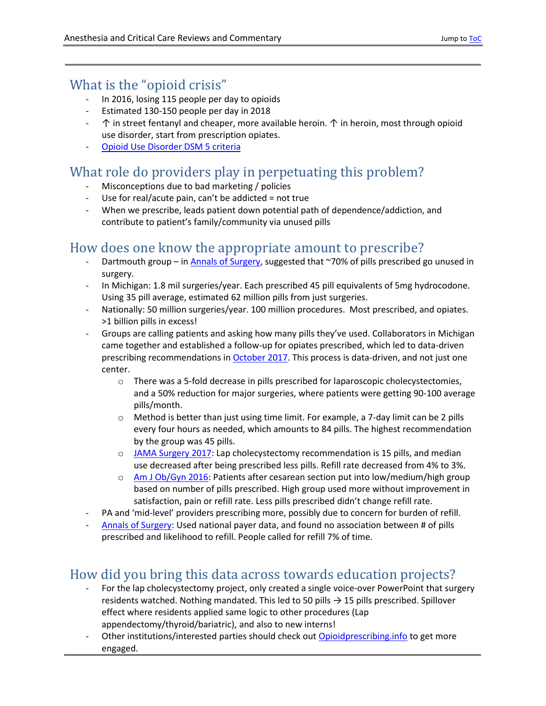#### What is the "opioid crisis"

- In 2016, losing 115 people per day to opioids
- Estimated 130-150 people per day in 2018
- $\uparrow$  in street fentanyl and cheaper, more available heroin.  $\uparrow$  in heroin, most through opioid use disorder, start from prescription opiates.
- [Opioid Use Disorder DSM 5](https://www.buppractice.com/node/1514) criteria

## <span id="page-1-0"></span>What role do providers play in perpetuating this problem?

- Misconceptions due to bad marketing / policies
- Use for real/acute pain, can't be addicted = not true
- When we prescribe, leads patient down potential path of dependence/addiction, and contribute to patient's family/community via unused pills

#### <span id="page-1-1"></span>How does one know the appropriate amount to prescribe?

- Dartmouth group i[n Annals of Surgery,](https://www.ncbi.nlm.nih.gov/pubmed/27631771) suggested that ~70% of pills prescribed go unused in surgery.
- In Michigan: 1.8 mil surgeries/year. Each prescribed 45 pill equivalents of 5mg hydrocodone. Using 35 pill average, estimated 62 million pills from just surgeries.
- Nationally: 50 million surgeries/year. 100 million procedures. Most prescribed, and opiates. >1 billion pills in excess!
- Groups are calling patients and asking how many pills they've used. Collaborators in Michigan came together and established a follow-up for opiates prescribed, which led to data-driven prescribing recommendations in [October](http://michigan-open.org/michigan-open-in-collaboration-with-msqc-develops-opioid-prescribing-recommendations/) 2017. This process is data-driven, and not just one center.
	- o There was a 5-fold decrease in pills prescribed for laparoscopic cholecystectomies, and a 50% reduction for major surgeries, where patients were getting 90-100 average pills/month.
	- $\circ$  Method is better than just using time limit. For example, a 7-day limit can be 2 pills every four hours as needed, which amounts to 84 pills. The highest recommendation by the group was 45 pills.
	- o [JAMA Surgery 2017:](https://jamanetwork.com/journals/jamasurgery/article-abstract/2664659) Lap cholecystectomy recommendation is 15 pills, and median use decreased after being prescribed less pills. Refill rate decreased from 4% to 3%.
	- o [Am J Ob/Gyn 2016:](https://www.ncbi.nlm.nih.gov/pubmed/26996986) Patients after cesarean section put into low/medium/high group based on number of pills prescribed. High group used more without improvement in satisfaction, pain or refill rate. Less pills prescribed didn't change refill rate.
- PA and 'mid-level' providers prescribing more, possibly due to concern for burden of refill.
- [Annals of Surgery:](https://www.ncbi.nlm.nih.gov/pubmed/27631771) Used national payer data, and found no association between # of pills prescribed and likelihood to refill. People called for refill 7% of time.

# <span id="page-1-2"></span>How did you bring this data across towards education projects?

- For the lap cholecystectomy project, only created a single voice-over PowerPoint that surgery residents watched. Nothing mandated. This led to 50 pills  $\rightarrow$  15 pills prescribed. Spillover effect where residents applied same logic to other procedures (Lap appendectomy/thyroid/bariatric), and also to new interns!
- Other institutions/interested parties should check out [Opioidprescribing.info](https://opioidprescribing.info/) to get more engaged.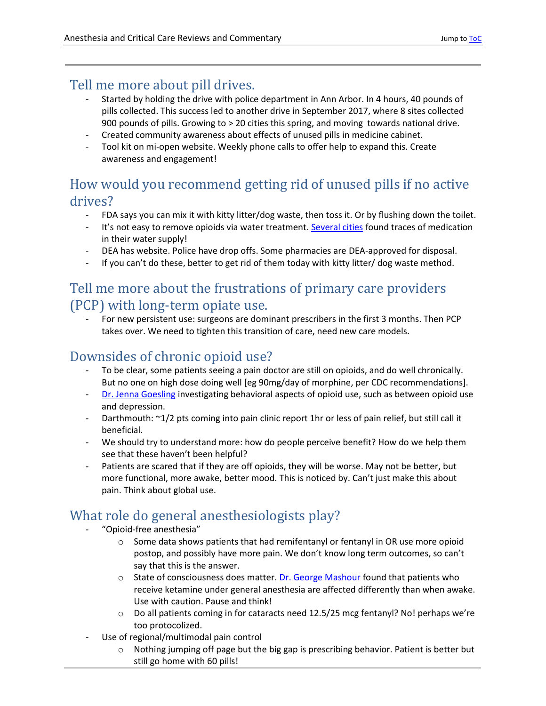#### <span id="page-2-0"></span>Tell me more about pill drives.

- Started by holding the drive with police department in Ann Arbor. In 4 hours, 40 pounds of pills collected. This success led to another drive in September 2017, where 8 sites collected 900 pounds of pills. Growing to > 20 cities this spring, and moving towards national drive.
- Created community awareness about effects of unused pills in medicine cabinet.
- Tool kit on mi-open website. Weekly phone calls to offer help to expand this. Create awareness and engagement!

#### <span id="page-2-1"></span>How would you recommend getting rid of unused pills if no active drives?

- FDA says you can mix it with kitty litter/dog waste, then toss it. Or by flushing down the toilet.
- It's not easy to remove opioids via water treatment. [Several cities](https://thelede.blogs.nytimes.com/2008/03/10/there-are-drugs-in-drinking-water-now-what/) found traces of medication in their water supply!
- DEA has website. Police have drop offs. Some pharmacies are DEA-approved for disposal.
- If you can't do these, better to get rid of them today with kitty litter/ dog waste method.

#### <span id="page-2-2"></span>Tell me more about the frustrations of primary care providers (PCP) with long-term opiate use.

- For new persistent use: surgeons are dominant prescribers in the first 3 months. Then PCP takes over. We need to tighten this transition of care, need new care models.

## <span id="page-2-3"></span>Downsides of chronic opioid use?

- To be clear, some patients seeing a pain doctor are still on opioids, and do well chronically. But no one on high dose doing well [eg 90mg/day of morphine, per CDC recommendations].
- [Dr. Jenna Goesling](https://www.ncbi.nlm.nih.gov/pubmed?term=Goesling+J%5BAuthor%5D) investigating behavioral aspects of opioid use, such as between opioid use and depression.
- Darthmouth: ~1/2 pts coming into pain clinic report 1hr or less of pain relief, but still call it beneficial.
- We should try to understand more: how do people perceive benefit? How do we help them see that these haven't been helpful?
- Patients are scared that if they are off opioids, they will be worse. May not be better, but more functional, more awake, better mood. This is noticed by. Can't just make this about pain. Think about global use.

# <span id="page-2-4"></span>What role do general anesthesiologists play?

- "Opioid-free anesthesia"
	- $\circ$  Some data shows patients that had remifentanyl or fentanyl in OR use more opioid postop, and possibly have more pain. We don't know long term outcomes, so can't say that this is the answer.
	- $\circ$  State of consciousness does matter. [Dr. George Mashour](http://www.thelancet.com/journals/lancet/article/PIIS0140-6736(17)31467-8/abstract) found that patients who receive ketamine under general anesthesia are affected differently than when awake. Use with caution. Pause and think!
	- $\circ$  Do all patients coming in for cataracts need 12.5/25 mcg fentanyl? No! perhaps we're too protocolized.
- Use of regional/multimodal pain control
	- $\circ$  Nothing jumping off page but the big gap is prescribing behavior. Patient is better but still go home with 60 pills!